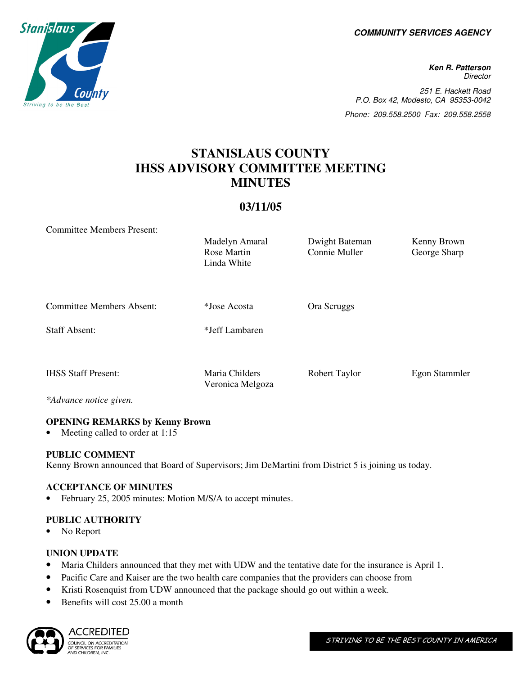**COMMUNITY SERVICES AGENCY** 

**Ken R. Patterson Director** 251 E. Hackett Road P.O. Box 42, Modesto, CA 95353-0042 Phone: 209.558.2500 Fax: 209.558.2558

# **STANISLAUS COUNTY IHSS ADVISORY COMMITTEE MEETING MINUTES**

# **03/11/05**

Committee Members Present:

Madelyn Amaral Dwight Bateman Kenny Brown Rose Martin Linda White Connie Muller George Sharp

Committee Members Absent: \*Jose Acosta Ora Scruggs

Staff Absent: \*Jeff Lambaren

IHSS Staff Present: Maria Childers Robert Taylor Egon Stammler

*\*Advance notice given.* 

# **OPENING REMARKS by Kenny Brown**

Meeting called to order at 1:15

# **PUBLIC COMMENT**

Kenny Brown announced that Board of Supervisors; Jim DeMartini from District 5 is joining us today.

Veronica Melgoza

# **ACCEPTANCE OF MINUTES**

February 25, 2005 minutes: Motion M/S/A to accept minutes.

# **PUBLIC AUTHORITY**

• No Report

#### **UNION UPDATE**

- Maria Childers announced that they met with UDW and the tentative date for the insurance is April 1.
- Pacific Care and Kaiser are the two health care companies that the providers can choose from
- Kristi Rosenquist from UDW announced that the package should go out within a week.
- Benefits will cost 25.00 a month



ACCREDITED COUNCIL ON ACCREDITATION CODIVOID ON ACCREDITATI<br>OF SERVICES FOR FAMILIES<br>AND CHILDREN, INC.